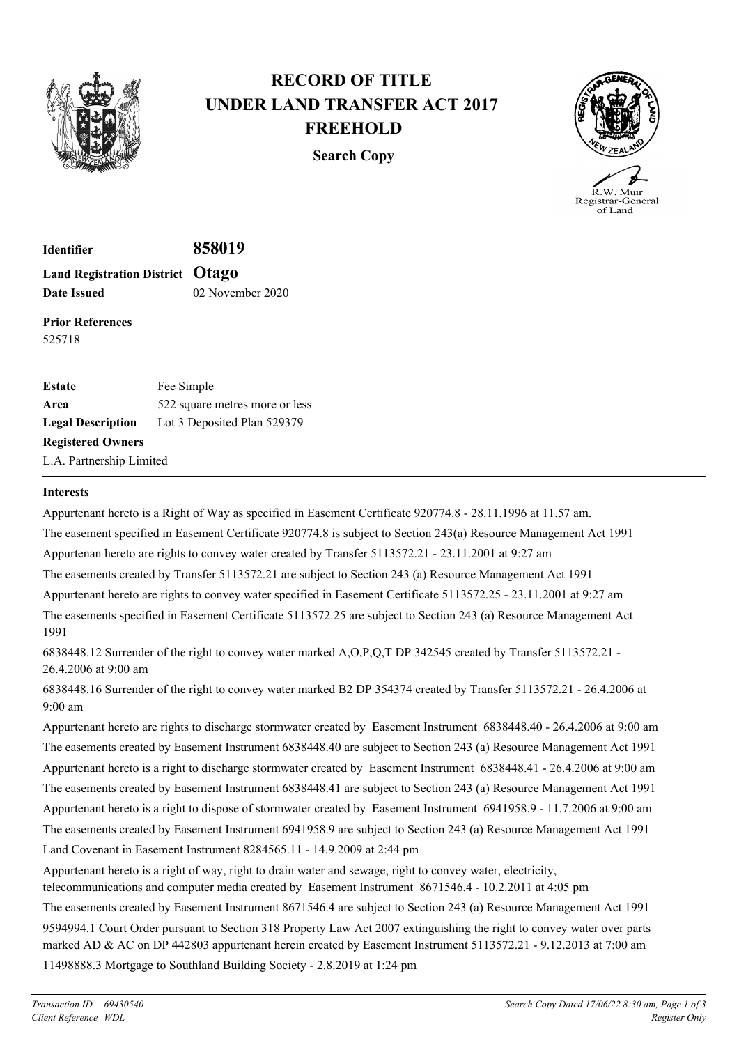

## **RECORD OF TITLE UNDER LAND TRANSFER ACT 2017 FREEHOLD**

**Search Copy**



**Identifier 858019 Land Registration District Otago Date Issued** 02 November 2020

**Prior References** 525718

| <b>Estate</b>            | Fee Simple                     |
|--------------------------|--------------------------------|
| Area                     | 522 square metres more or less |
| <b>Legal Description</b> | Lot 3 Deposited Plan 529379    |
| <b>Registered Owners</b> |                                |
| L.A. Partnership Limited |                                |

## **Interests**

Appurtenant hereto is a Right of Way as specified in Easement Certificate 920774.8 - 28.11.1996 at 11.57 am.

The easement specified in Easement Certificate 920774.8 is subject to Section 243(a) Resource Management Act 1991

Appurtenan hereto are rights to convey water created by Transfer 5113572.21 - 23.11.2001 at 9:27 am

The easements created by Transfer 5113572.21 are subject to Section 243 (a) Resource Management Act 1991

Appurtenant hereto are rights to convey water specified in Easement Certificate 5113572.25 - 23.11.2001 at 9:27 am

The easements specified in Easement Certificate 5113572.25 are subject to Section 243 (a) Resource Management Act 1991

6838448.12 Surrender of the right to convey water marked A,O,P,Q,T DP 342545 created by Transfer 5113572.21 - 26.4.2006 at 9:00 am

6838448.16 Surrender of the right to convey water marked B2 DP 354374 created by Transfer 5113572.21 - 26.4.2006 at 9:00 am

Appurtenant hereto are rights to discharge stormwater created by Easement Instrument 6838448.40 - 26.4.2006 at 9:00 am The easements created by Easement Instrument 6838448.40 are subject to Section 243 (a) Resource Management Act 1991 Appurtenant hereto is a right to discharge stormwater created by Easement Instrument 6838448.41 - 26.4.2006 at 9:00 am The easements created by Easement Instrument 6838448.41 are subject to Section 243 (a) Resource Management Act 1991 Appurtenant hereto is a right to dispose of stormwater created by Easement Instrument 6941958.9 - 11.7.2006 at 9:00 am The easements created by Easement Instrument 6941958.9 are subject to Section 243 (a) Resource Management Act 1991 Land Covenant in Easement Instrument 8284565.11 - 14.9.2009 at 2:44 pm

Appurtenant hereto is a right of way, right to drain water and sewage, right to convey water, electricity,

telecommunications and computer media created by Easement Instrument 8671546.4 - 10.2.2011 at 4:05 pm

The easements created by Easement Instrument 8671546.4 are subject to Section 243 (a) Resource Management Act 1991 9594994.1 Court Order pursuant to Section 318 Property Law Act 2007 extinguishing the right to convey water over parts marked AD & AC on DP 442803 appurtenant herein created by Easement Instrument 5113572.21 - 9.12.2013 at 7:00 am 11498888.3 Mortgage to Southland Building Society - 2.8.2019 at 1:24 pm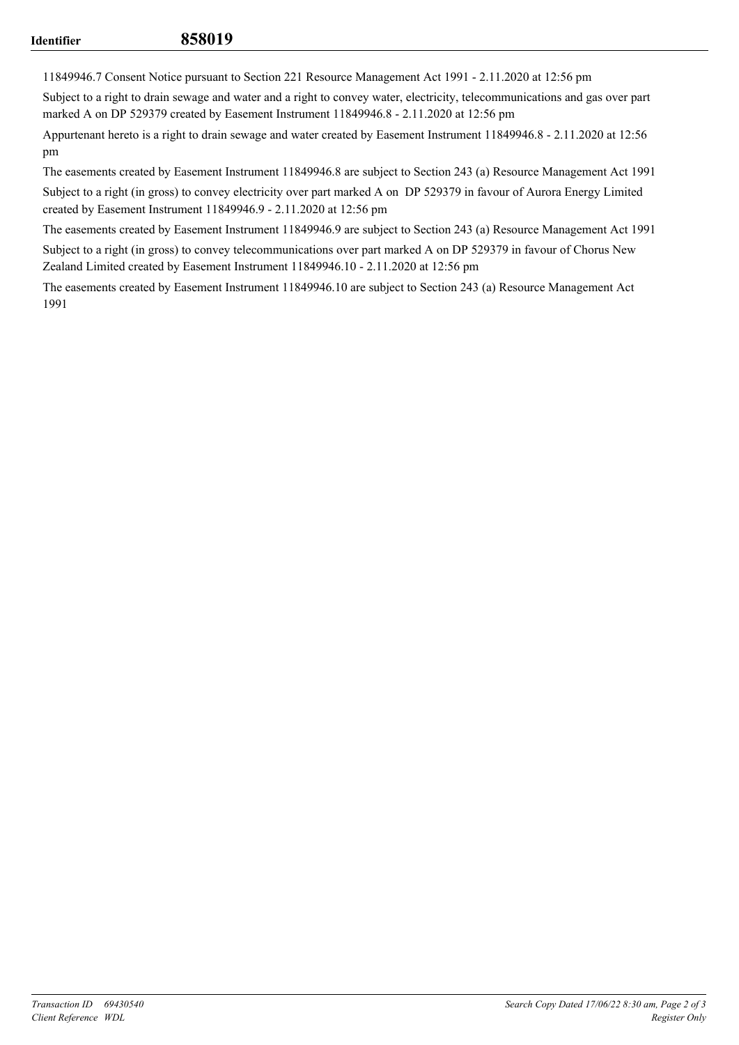11849946.7 Consent Notice pursuant to Section 221 Resource Management Act 1991 - 2.11.2020 at 12:56 pm

Subject to a right to drain sewage and water and a right to convey water, electricity, telecommunications and gas over part marked A on DP 529379 created by Easement Instrument 11849946.8 - 2.11.2020 at 12:56 pm

Appurtenant hereto is a right to drain sewage and water created by Easement Instrument 11849946.8 - 2.11.2020 at 12:56 pm

The easements created by Easement Instrument 11849946.8 are subject to Section 243 (a) Resource Management Act 1991

Subject to a right (in gross) to convey electricity over part marked A on DP 529379 in favour of Aurora Energy Limited created by Easement Instrument 11849946.9 - 2.11.2020 at 12:56 pm

The easements created by Easement Instrument 11849946.9 are subject to Section 243 (a) Resource Management Act 1991

Subject to a right (in gross) to convey telecommunications over part marked A on DP 529379 in favour of Chorus New Zealand Limited created by Easement Instrument 11849946.10 - 2.11.2020 at 12:56 pm

The easements created by Easement Instrument 11849946.10 are subject to Section 243 (a) Resource Management Act 1991